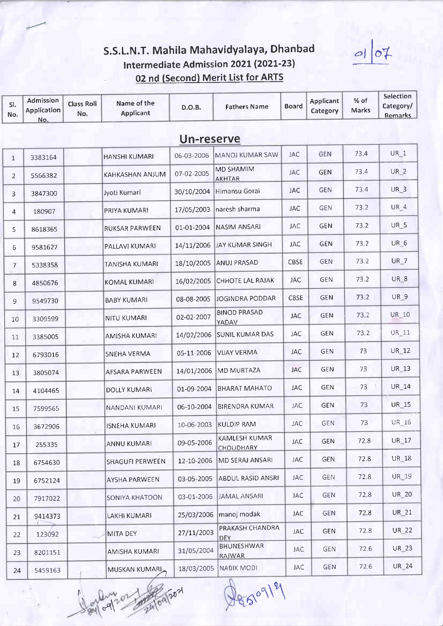#### S.S.L.N.T. Mahila Mahavidyalaya, Dhanbad Intermediate Admission 2021 (2021-23) 02 nd (Second) Merit List for ARTS

Selection Admission  $%$  of **Applicant** Class Roll Name of the  $SI.$ Category/ **Fathers Name Board**  $D.O.B.$ Application Category **Marks Applicant** No. No. **Remarks** No. Un-reserve  $73A$ UR<sub>1</sub> **GEN** 06-03-2006 MANOJ KUMAR SAW **JAC HANSHI KUMARI** 3383164  $\mathbf{1}$ **MD SHAMIM** 73.4  $UR<sub>2</sub>$ **JAC KAHKASHAN ANJUM** GEN 07-02-2005  $\overline{2}$ 5566382 **AKHTAR** 734  $UR<sub>3</sub>$ Himansu Gorai **JAC GEN** 30/10/2004 Jyoti Kumari 3847300  $\mathbf{R}$ UR<sub>4</sub> 73.2 **GEN** 17/05/2003 naresh sharma **JAC** PRIYA KUMARI 180907  $\overline{4}$ **UR 5 JAC GEN** 73.2 **NASIM ANSARI RUKSAR PARWEEN** 01-01-2004 8618365 5 UR<sub>6</sub> 73.2 **JAY KUMAR SINGH JAC GEN** 14/11/2006 PALLAVI KUMARI 9581627 6 73.2 UR<sub>7</sub> CBSE **GEN TANISHA KUMARI** 18/10/2005 **ANUJ PRASAD**  $\overline{7}$ 5338358 UR<sub>8</sub> **GEN** 73.2 **CHHOTE LAL RAJAK JAC KOMAL KUMARI** 16/02/2005 4850676 8 UR 9  $73.2$ **GEN JOGINDRA PODDAR** CBSE 08-08-2005 **BABY KUMARI** 9 9549730 **BINOD PRASAD** GEN 73.2 **UR 10 JAC** 02-02-2007 **NITU KUMARI** 10 3309599 VADAV **UR\_11** 73.2 GEN 14/02/2006 **SUNIL KUMAR DAS JAC** 3385005 **AMISHA KUMARI** 11 **GEN** 73 **UR 12** IAC **SNEHA VERMA** 05-11-2006 **VIJAY VERMA** 6793016  $12$ **GEN** 73 UR 13 **JAC** 14/01/2006 **MD MURTAZA AFSARA PARWEEN** 3805074 13  $73$ UR 14 GEN **BHARAT MAHATO JAC** 01-09-2004 **DOLLY KUMARI** 14 4104465 **UR 15** 73 **JAC GEN BIRENDRA KUMAR** 06-10-2004 **NANDANI KUMARI** 7599565 15 UR 16 **JAC GEN** 73 **KULDIP RAM** 10-06-2003 3672906 **ISNEHA KUMARI** 16 **KAMLESH KUMAR UR 17 GEN** 72.8 **JAC** 09-05-2006 **ANNU KUMARI** 255335 17 CHOUDHARY **UR** 18 GEN 72.8 MD SERAJ ANSARI **JAC SHAGUFI PERWEEN** 12-10-2006 6754630 18 72.8 UR\_19 **ABDUL RASID ANSRI JAC GEN** 03-05-2005 **AYSHA PARWEEN** 6752124 19 **UR 20** 72.8 **JAMAL ANSARI JAC GFN SONIYA KHATOON** 03-01-2006 20 7917022 72.8 **UR\_21** JAC **GEN** manoj modak **LAKHI KUMARI** 25/03/2006 9414373 21 PRAKASH CHANDRA **UR 22 JAC GEN** 72.8 27/11/2003 123092 MITA DEY  $22$ **DEV** BHUNESHWAR **JAC GEN** 72.6 UR\_23 31/05/2004 **AMISHA KUMARI** 23 8201151 **RAIWAR UR 24** 72.6 **JAC GEN** NABIK MODI 18/03/2005 **MUSKAN KUMARI** 24 5459163

8509/9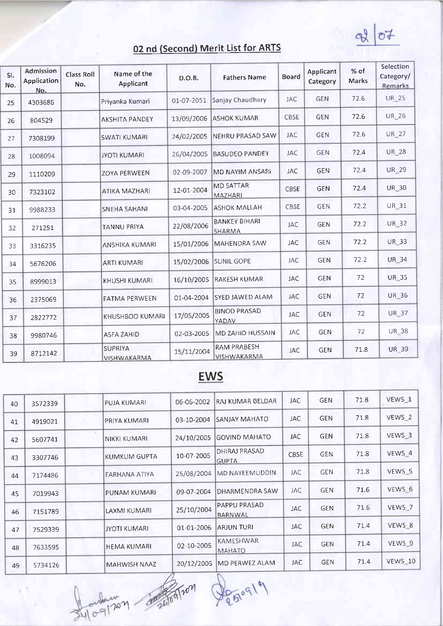$\sigma$  $Q$ 

| SI.<br>No. | Admission<br>Application<br>No. | <b>Class Roll</b><br>No. | Name of the<br>Applicant      | D.O.B.     | <b>Fathers Name</b>                 | <b>Board</b> | <b>Applicant</b><br>Category | $%$ of<br>Marks | Selection<br>Category/<br>Remarks |
|------------|---------------------------------|--------------------------|-------------------------------|------------|-------------------------------------|--------------|------------------------------|-----------------|-----------------------------------|
| 25         | 4303686                         |                          | Priyanka Kumari               | 01-07-2051 | Sanjay Chaudhary                    | <b>JAC</b>   | <b>GEN</b>                   | 72.6            | <b>UR_25</b>                      |
| 26         | 804529                          |                          | <b>AKSHITA PANDEY</b>         | 13/09/2006 | <b>ASHOK KUMAR</b>                  | CBSE         | <b>GEN</b>                   | 72.6            | UR 26                             |
| 27         | 7308199                         |                          | <b>SWATI KUMARI</b>           | 24/02/2005 | NEHRU PRASAD SAW                    | <b>JAC</b>   | <b>GEN</b>                   | 72.6            | UR_27                             |
| 28         | 1008094                         |                          | <b>JYOTI KUMARI</b>           | 26/04/2005 | <b>BASUDEO PANDEY</b>               | <b>JAC</b>   | <b>GEN</b>                   | 72.4            | <b>UR 28</b>                      |
| 29         | 1110209                         |                          | <b>ZOYA PERWEEN</b>           | 02-09-2007 | <b>MD NAYIM ANSARI</b>              | <b>JAC</b>   | <b>GEN</b>                   | 72.4            | <b>UR 29</b>                      |
| 30         | 7323102                         |                          | <b>ATIKA MAZHARI</b>          | 12-01-2004 | <b>MD SATTAR</b><br>MAZHARI         | CBSE         | <b>GEN</b>                   | 72.4            | <b>UR 30</b>                      |
| 31         | 9988233                         |                          | <b>SNEHA SAHANI</b>           | 03-04-2005 | ASHOK MALLAH                        | CBSE         | <b>GEN</b>                   | 72.2            | <b>UR 31</b>                      |
| 32         | 271251                          |                          | <b>TANNU PRIYA</b>            | 22/08/2006 | <b>BANKEY BIHARI</b><br>SHARMA      | <b>JAC</b>   | <b>GEN</b>                   | 72.2            | UR 32                             |
| 33         | 3316235                         |                          | <b>ANSHIKA KUMARI</b>         | 15/01/2006 | <b>MAHENDRA SAW</b>                 | <b>JAC</b>   | <b>GEN</b>                   | 72.2            | <b>UR 33</b>                      |
| 34         | 5676206                         |                          | <b>ARTI KUMARI</b>            | 15/02/2006 | <b>SUNIL GOPE</b>                   | <b>JAC</b>   | <b>GEN</b>                   | 72.2            | <b>UR 34</b>                      |
| 35         | 8999013                         |                          | İKHUSHI KUMARI                | 16/10/2005 | RAKESH KUMAR                        | <b>JAC</b>   | <b>GEN</b>                   | 72              | <b>UR 35</b>                      |
| 36         | 2375069                         |                          | <b>FATMA PERWEEN</b>          | 01-04-2004 | SYED JAWED ALAM                     | JAC          | GEN                          | 72              | UR 36                             |
| 37         | 2822772                         |                          | KHUSHBOO KUMARI               | 17/05/2005 | <b>BINOD PRASAD</b><br><b>YADAV</b> | <b>JAC</b>   | <b>GEN</b>                   | 72              | UR 37                             |
| 38         | 9980746                         |                          | <b>ASFA ZAHID</b>             | 02-03-2005 | <b>MD ZAHID HUSSAIN</b>             | <b>JAC</b>   | <b>GEN</b>                   | 72              | <b>UR 38</b>                      |
| 39         | 8712142                         |                          | <b>SUPRIYA</b><br>VISHWAKARMA | 15/11/2004 | RAM PRABESH<br><b>VISHWAKARMA</b>   | <b>JAC</b>   | <b>GEN</b>                   | 71.8            | UR 39                             |

## **EWS**

| 40 | 3572339 | PUJA KUMARI         | 06-06-2002 | RAJ KUMAR BELDAR                      | <b>JAC</b> | <b>GEN</b> | 71.8 | VEWS 1            |
|----|---------|---------------------|------------|---------------------------------------|------------|------------|------|-------------------|
| 41 | 4919021 | PRIYA KUMARI        | 03-10-2004 | İSANJAY MAHATO                        | <b>JAC</b> | <b>GEN</b> | 71.8 | VEWS <sub>2</sub> |
| 42 | 5607741 | NIKKI KUMARI        | 24/10/2005 | GOVIND MAHATO                         | <b>JAC</b> | <b>GEN</b> | 71.8 | VEWS 3            |
| 43 | 3307746 | KUMKUM GUPTA        | 10-07-2005 | DHIRAJ PRASAD<br><b>GUPTA</b>         | CBSE       | <b>GEN</b> | 71.8 | VEWS 4            |
| 44 | 7174486 | FARHANA ATIYA       | 25/08/2004 | MD NAYEEMUDDIN                        | <b>JAC</b> | <b>GEN</b> | 71.8 | VEWS <sub>5</sub> |
| 45 | 7019943 | PUNAM KUMARI        | 09-07-2004 | DHARMENDRA SAW                        | <b>JAC</b> | <b>GEN</b> | 71.6 | VEWS 6            |
| 46 | 7151789 | LAXMI KUMARI        | 25/10/2004 | <b>PAPPU PRASAD</b><br><b>BARNWAL</b> | <b>JAC</b> | <b>GEN</b> | 71.6 | VEWS 7            |
| 47 | 7529339 | IJYOTI KUMARI       | 01-01-2006 | ARJUN TURI                            | <b>JAC</b> | <b>GEN</b> | 71.4 | VEWS 8            |
| 48 | 7633595 | <b>HEMA KUMARI</b>  | 02-10-2005 | <b>KAMESHWAR</b><br><b>MAHATO</b>     | <b>JAC</b> | <b>GEN</b> | 71.4 | VEWS 9            |
| 49 | 5734126 | <b>MAHWISH NAAZ</b> | 20/12/2005 | MD PERWEZ ALAM                        | JAC.       | <b>GEN</b> | 71.4 | VEWS 10           |
|    |         |                     |            |                                       |            |            |      |                   |

**Bron**  $70<sup>2</sup>$ 

Peroq19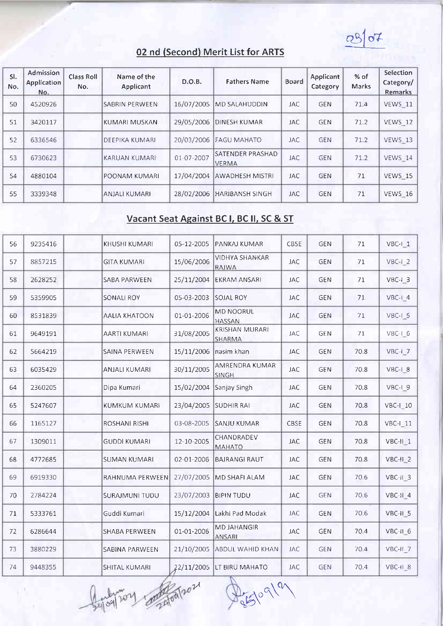$0807$ 

| SI.<br>No. | Admission<br><b>Application</b><br>No. | <b>Class Roll</b><br>No. | Name of the<br>Applicant | D.O.B.     | <b>Fathers Name</b>               | <b>Board</b> | Applicant<br>Category | $%$ of<br><b>Marks</b> | Selection<br>Category/<br>Remarks |
|------------|----------------------------------------|--------------------------|--------------------------|------------|-----------------------------------|--------------|-----------------------|------------------------|-----------------------------------|
| 50         | 4520926                                |                          | ISABRIN PERWEEN          | 16/07/2005 | <b>MD SALAHUDDIN</b>              | <b>JAC</b>   | <b>GEN</b>            | 71.4                   | VEWS 11                           |
| 51         | 3420117                                |                          | İKUMARI MUSKAN           | 29/05/2006 | DINESH KUMAR                      | <b>JAC</b>   | <b>GEN</b>            | 71.2                   | VEWS 12                           |
| 52         | 6336546                                |                          | DEEPIKA KUMARI           | 20/03/2006 | <b>FAGU MAHATO</b>                | <b>JAC</b>   | <b>GEN</b>            | 71.2                   | VEWS 13                           |
| 53         | 6730623                                |                          | KARUAN KUMARI            | 01-07-2007 | ISATENDER PRASHAD<br><b>VERMA</b> | <b>JAC</b>   | <b>GEN</b>            | 71.2                   | VEWS 14                           |
| 54         | 4880104                                |                          | POONAM KUMARI            |            | 17/04/2004 AWADHESH MISTRI        | <b>JAC</b>   | <b>GEN</b>            | 71                     | VEWS 15                           |
| 55         | 3339348                                |                          | ANJALI KUMARI            | 28/02/2006 | <b>HARIBANSH SINGH</b>            | JAC          | <b>GEN</b>            | 71                     | VEWS 16                           |

#### Vacant Seat Against BC I, BC II, SC & ST

| 56 | 9235416 | KHUSHI KUMARI         | 05-12-2005 | PANKAJ KUMAR                        | CBSE       | GEN        | 71   | $VBC-I_1$            |
|----|---------|-----------------------|------------|-------------------------------------|------------|------------|------|----------------------|
| 57 | 8857215 | <b>GITA KUMARI</b>    | 15/06/2006 | <b>VIDHYA SHANKAR</b><br>RAIWA      | <b>JAC</b> | <b>GEN</b> | 71   | $VBC-I 2$            |
| 58 | 2628252 | <b>SABA PARWEEN</b>   | 25/11/2004 | EKRAM ANSARI                        | <b>JAC</b> | <b>GEN</b> | 71   | VBC-I 3              |
| 59 | 5359905 | <b>SONALI ROY</b>     | 05-03-2003 | <b>SOJAL ROY</b>                    | <b>JAC</b> | GEN        | 71   | VBC-I 4              |
| 60 | 8531839 | <b>AALIA KHATOON</b>  | 01-01-2006 | <b>MD NOORUL</b><br>HASSAN          | <b>JAC</b> | <b>GEN</b> | 71   | VBC-I 5              |
| 61 | 9649191 | AARTI KUMARI          | 31/08/2005 | <b>KRISHAN MURARI</b><br>SHARMA     | <b>JAC</b> | <b>GEN</b> | 71   | VBC-1_6              |
| 62 | 5664219 | SAINA PERWEEN         | 15/11/2006 | nasim khan                          | <b>JAC</b> | <b>GEN</b> | 70.8 | VBC-I <sub>2</sub> 7 |
| 63 | 6035429 | ANJALI KUMARI         | 30/11/2005 | AMRENDRA KUMAR<br><b>SINGH</b>      | <b>JAC</b> | GEN        | 70.8 | VBC-1_8              |
| 64 | 2360205 | Dipa Kumari           | 15/02/2004 | Sanjay Singh                        | <b>JAC</b> | <b>GEN</b> | 70.8 | VBC-I 9              |
| 65 | 5247607 | KUMKUM KUMARI         | 23/04/2005 | <b>SUDHIR RAI</b>                   | <b>JAC</b> | <b>GEN</b> | 70.8 | <b>VBC-1_10</b>      |
| 66 | 1165127 | ROSHANI RISHI         | 03-08-2005 | <b>SANJU KUMAR</b>                  | CBSE       | GEN        | 70.8 | $VBC-I$ 11           |
| 67 | 1309011 | <b>GUDDI KUMARI</b>   | 12-10-2005 | CHANDRADEV<br>ΜΑΗΑΤΟ                | <b>JAC</b> | <b>GEN</b> | 70.8 | VBC-II-1             |
| 68 | 4772685 | <b>SUMAN KUMARI</b>   | 02-01-2006 | <b>BAJRANGI RAUT</b>                | <b>JAC</b> | <b>GEN</b> | 70.8 | $VBC-H_2$            |
| 69 | 6919330 | RAHNUMA PERWEEN       | 27/07/2005 | MD SHAFI ALAM                       | JAC        | <b>GEN</b> | 70.6 | VBC-II_3             |
| 70 | 2784224 | <b>SURAJMUNI TUDU</b> | 23/07/2003 | <b>BIPIN TUDU</b>                   | <b>JAC</b> | <b>GEN</b> | 70.6 | $VBC-II$ 4           |
| 71 | 5333761 | Guddi Kumari          | 15/12/2004 | Lakhi Pad Modak                     | <b>JAC</b> | <b>GEN</b> | 70.6 | VBC-II_5             |
| 72 | 6286644 | SHABA PERWEEN         | 01-01-2006 | <b>MD JAHANGIR</b><br><b>ANSARI</b> | <b>JAC</b> | <b>GEN</b> | 70.4 | VBC-II_6             |
| 73 | 3880229 | SABINA PARWEEN        | 21/10/2005 | <b>ABDUL WAHID KHAN</b>             | <b>JAC</b> | GEN        | 70.4 | $VBC-H_7$            |
| 74 | 9448355 | SHITAL KUMARI         | 22/11/2005 | LT BIRU MAHATO                      | <b>JAC</b> | GEN        | 70.4 | $VBC-H_8$            |

der Toy Contrator

Passiogla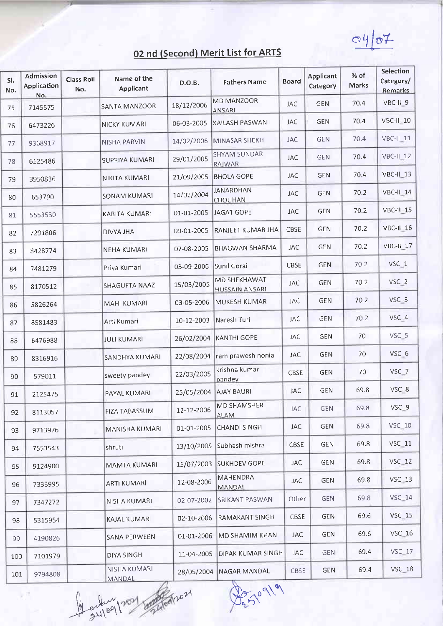$Q\psi$ 

| SI.<br>No. | Admission<br>Application<br>No. | <b>Class Roll</b><br>No. | Name of the<br>Applicant | D.O.B.     | <b>Fathers Name</b>                   | <b>Board</b> | <b>Applicant</b><br>Category | $%$ of<br>Marks | Selection<br>Category/<br>Remarks |
|------------|---------------------------------|--------------------------|--------------------------|------------|---------------------------------------|--------------|------------------------------|-----------------|-----------------------------------|
| 75         | 7145575                         |                          | SANTA MANZOOR            | 18/12/2006 | MD MANZOOR<br><b>ANSARI</b>           | <b>JAC</b>   | GEN                          | 70.4            | VBC-II 9                          |
| 76         | 6473226                         |                          | NICKY KUMARI             | 06-03-2005 | KAILASH PASWAN                        | JAC          | <b>GEN</b>                   | 70.4            | VBC-II-10                         |
| 77         | 9368917                         |                          | NISHA PARVIN             | 14/02/2006 | MINASAR SHEKH                         | JAC          | <b>GEN</b>                   | 70.4            | <b>VBC-II_11</b>                  |
| 78         | 6125486                         |                          | SUPRIYA KUMARI           | 29/01/2005 | <b>SHYAM SUNDAR</b><br>RAIWAR         | <b>JAC</b>   | <b>GEN</b>                   | 70.4            | <b>VBC-II 12</b>                  |
| 79         | 3950836                         |                          | NIKITA KUMARI            | 21/09/2005 | <b>BHOLA GOPE</b>                     | <b>JAC</b>   | <b>GEN</b>                   | 70.4            | VBC-IL <sub>13</sub>              |
| 80         | 653790                          |                          | <b>SONAM KUMARI</b>      | 14/02/2004 | <b>JANARDHAN</b><br>CHOUHAN           | <b>JAC</b>   | <b>GEN</b>                   | 70.2            | <b>VBC-II 14</b>                  |
| 81         | 5553530                         |                          | <b>KABITA KUMARI</b>     | 01-01-2005 | JAGAT GOPE                            | <b>JAC</b>   | GEN                          | 70.2            | VBC-11 15                         |
| 82         | 7291806                         |                          | DIVYA JHA                | 09-01-2005 | RANJEET KUMAR JHA                     | CBSE         | GEN                          | 70.2            | VBC-II 16                         |
| 83         | 8428774                         |                          | NEHA KUMARI              | 07-08-2005 | <b>BHAGWAN SHARMA</b>                 | <b>JAC</b>   | <b>GEN</b>                   | 70.2            | VBC-II_17                         |
| 84         | 7481279                         |                          | Priya Kumari             | 03-09-2006 | Sunil Gorai                           | CBSE         | GEN                          | 70.2            | VSC_1                             |
| 85         | 8170512                         |                          | <b>SHAGUFTA NAAZ</b>     | 15/03/2005 | MD SHEKHAWAT<br><b>HUSSAIN ANSARI</b> | <b>JAC</b>   | <b>GEN</b>                   | 70.2            | VSC_2                             |
| 86         | 5826264                         |                          | MAHI KUMARI              | 03-05-2006 | MUKESH KUMAR                          | <b>JAC</b>   | <b>GEN</b>                   | 70.2            | VSC <sub>3</sub>                  |
| 87         | 8581483                         |                          | Arti Kumari              | 10-12-2003 | Naresh Turi                           | <b>JAC</b>   | GEN                          | 70.2            | VSC_4                             |
| 88         | 6476988                         |                          | <b>JULI KUMARI</b>       | 26/02/2004 | <b>KANTHI GOPE</b>                    | <b>JAC</b>   | <b>GEN</b>                   | 70              | VSC_5                             |
| 89         | 8316916                         |                          | SANDHYA KUMARI           | 22/08/2004 | ram prawesh nonia                     | <b>JAC</b>   | <b>GEN</b>                   | 70              | VSC <sub>6</sub>                  |
| 90         | 579011                          |                          | sweety pandey            | 22/03/2005 | krishna kumar<br>pandey               | CBSE         | <b>GEN</b>                   | 70              | VSC_7                             |
| 91         | 2125475                         |                          | PAYAL KUMARI             | 25/05/2004 | <b>AJAY BAURI</b>                     | <b>JAC</b>   | GEN                          | 69.8            | VSC 8                             |
| 92         | 8113057                         |                          | <b>FIZA TABASSUM</b>     | 12-12-2006 | MD SHAMSHER<br><b>ALAM</b>            | JAC          | <b>GEN</b>                   | 69.8            | VSC-9                             |
| 93         | 9713976                         |                          | MANISHA KUMARI           | 01-01-2005 | CHANDI SINGH                          | JAC          | <b>GEN</b>                   | 69.8            | <b>VSC 10</b>                     |
| 94         | 7553543                         |                          | shruti                   | 13/10/2005 | Subhash mishra                        | CBSE         | <b>GEN</b>                   | 69.8            | <b>VSC_11</b>                     |
| 95         | 9124900                         |                          | MAMTA KUMARI             | 15/07/2003 | SUKHDEV GOPE                          | JAC          | <b>GEN</b>                   | 69.8            | $VSC_12$                          |
| 96         | 7333995                         |                          | <b>ARTI KUMARI</b>       | 12-08-2006 | MAHENDRA<br>MANDAL                    | JAC          | <b>GEN</b>                   | 69.8            | $VSC$ 13                          |
| 97         | 7347272                         |                          | NISHA KUMARI             | 02-07-2002 | <b>SRIKANT PASWAN</b>                 | Other        | <b>GEN</b>                   | 69.8            | $VSC_14$                          |
| 98         | 5315954                         |                          | KAJAL KUMARI             | 02-10-2006 | RAMAKANT SINGH                        | CBSE         | <b>GEN</b>                   | 69.6            | $VSC_15$                          |
| 99         | 4190826                         |                          | SANA PERWEEN             | 01-01-2006 | MD SHAMIM KHAN                        | <b>JAC</b>   | <b>GEN</b>                   | 69.6            | <b>VSC 16</b>                     |
| 100        | 7101979                         |                          | DIYA SINGH               | 11-04-2005 | DIPAK KUMAR SINGH                     | <b>JAC</b>   | <b>GEN</b>                   | 69.4            | <b>VSC 17</b>                     |
| 101        | 9794808                         |                          | NISHA KUMARI<br>MANDAL   | 28/05/2004 | NAGAR MANDAL                          | CBSE         | <b>GEN</b>                   | 69.4            | <b>VSC 18</b>                     |

MANDAL MANDAL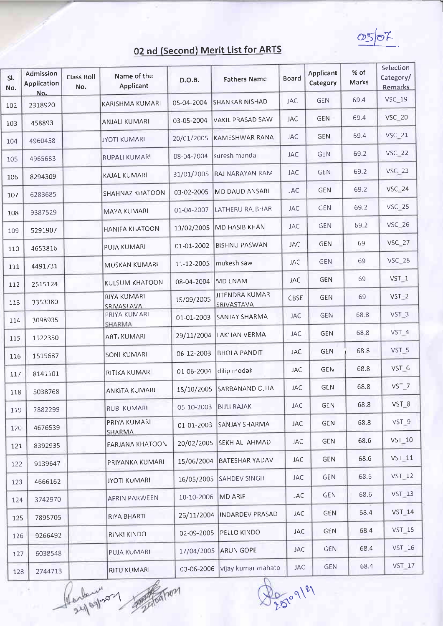$OS/O^{\tau}$ 

| SI.<br>No. | Admission<br>Application<br>No. | <b>Class Roll</b><br>No. | Name of the<br>Applicant         | D.O.B.     | <b>Fathers Name</b>                 | Board      | Applicant<br>Category | % of<br>Marks | Selection<br>Category/<br>Remarks |
|------------|---------------------------------|--------------------------|----------------------------------|------------|-------------------------------------|------------|-----------------------|---------------|-----------------------------------|
| 102        | 2318920                         |                          | KARISHMA KUMARI                  | 05-04-2004 | <b>SHANKAR NISHAD</b>               | <b>JAC</b> | <b>GEN</b>            | 69.4          | <b>VSC_19</b>                     |
| 103        | 458893                          |                          | ANJALI KUMARI                    | 03-05-2004 | <b>VAKIL PRASAD SAW</b>             | <b>JAC</b> | <b>GEN</b>            | 69.4          | <b>VSC 20</b>                     |
| 104        | 4960458                         |                          | <b>JYOTI KUMARI</b>              | 20/01/2005 | KAMESHWAR RANA                      | JAC        | <b>GEN</b>            | 69.4          | <b>VSC 21</b>                     |
| 105        | 4965683                         |                          | RUPALI KUMARI                    | 08-04-2004 | suresh mandal                       | JAC        | <b>GEN</b>            | 69.2          | <b>VSC 22</b>                     |
| 106        | 8294309                         |                          | KAJAL KUMARI                     | 31/01/2005 | RAJ NARAYAN RAM                     | JAC        | <b>GEN</b>            | 69.2          | <b>VSC 23</b>                     |
| 107        | 6283685                         |                          | SHAHNAZ KHATOON                  | 03-02-2005 | MD DAUD ANSARI                      | <b>JAC</b> | <b>GEN</b>            | 69.2          | $VSC = 24$                        |
| 108        | 9387529                         |                          | <b>MAYA KUMARI</b>               | 01-04-2007 | LATHERU RAJBHAR                     | <b>JAC</b> | GEN                   | 69.2          | <b>VSC 25</b>                     |
| 109        | 5291907                         |                          | HANIFA KHATOON                   |            | 13/02/2005 MD HASIB KHAN            | JAC        | <b>GEN</b>            | 69.2          | VSC_26                            |
| 110        | 4653816                         |                          | PUJA KUMARI                      | 01-01-2002 | <b>BISHNU PASWAN</b>                | JAC        | <b>GEN</b>            | 69            | <b>VSC_27</b>                     |
| 111        | 4491731                         |                          | MUSKAN KUMARI                    | 11-12-2005 | mukesh saw                          | JAC        | <b>GEN</b>            | 69            | <b>VSC_28</b>                     |
| 112        | 2515124                         |                          | KULSUM KHATOON                   | 08-04-2004 | MD ENAM                             | JAC        | GEN                   | 69            | VST <sub>1</sub>                  |
| 113        | 3353380                         |                          | <b>RIYA KUMARI</b><br>SRIVASTAVA | 15/09/2005 | <b>JITENDRA KUMAR</b><br>SRIVASTAVA | CBSE       | <b>GEN</b>            | 69            | $VST_2$                           |
| 114        | 3098935                         |                          | PRIYA KUMARI                     | 01-01-2003 | SANJAY SHARMA                       | <b>JAC</b> | <b>GEN</b>            | 68.8          | VST_3                             |
| 115        | 1522350                         |                          | SHARMA<br><b>ARTI KUMARI</b>     | 29/11/2004 | LAKHAN VERMA                        | <b>JAC</b> | GEN                   | 68.8          | VST <sub>4</sub>                  |
| 116        | 1515687                         |                          | SONI KUMARI                      | 06-12-2003 | BHOLA PANDIT                        | JAC        | GEN                   | 68.8          | VST_5                             |
| 117        | 8141101                         |                          | RITIKA KUMARI                    | 01-06-2004 | dilip modak                         | <b>JAC</b> | <b>GEN</b>            | 68.8          | VST 6                             |
| 118        | 5038768                         |                          | <b>ANKITA KUMARI</b>             | 18/10/2005 | SARBANAND OJHA                      | <b>JAC</b> | GEN                   | 68.8          | $VST_7$                           |
| 119        | 7882299                         |                          | RUBI KUMARI                      | 05-10-2003 | <b>BIJLI RAJAK</b>                  | JAC        | <b>GEN</b>            | 68.8          | VST_8                             |
| 120        | 4676539                         |                          | PRIYA KUMARI<br><b>SHARMA</b>    | 01-01-2003 | <b>SANJAY SHARMA</b>                | <b>JAC</b> | <b>GEN</b>            | 68.8          | VST_9                             |
| 121        | 8392935                         |                          | FARJANA KHATOON                  | 20/02/2005 | <b>SEKH ALI AHMAD</b>               | <b>JAC</b> | <b>GEN</b>            | 68.6          | <b>VST 10</b>                     |
| 122        | 9139647                         |                          | PRIYANKA KUMARI                  | 15/06/2004 | BATESHAR YADAV                      | JAC        | GEN                   | 68.6          | $VST_111$                         |
| 123        | 4666162                         |                          | JYOTI KUMARI                     | 16/05/2005 | SAHDEV SINGH                        | <b>JAC</b> | <b>GEN</b>            | 68.6          | $VST_12$                          |
| 124        | 3742970                         |                          | AFRIN PARWEEN                    | 10-10-2006 | MD ARIF                             | <b>JAC</b> | <b>GEN</b>            | 68.6          | $VST_13$                          |
| 125        | 7895705                         |                          | <b>RIYA BHARTI</b>               | 26/11/2004 | <b>INDARDEV PRASAD</b>              | JAC        | <b>GEN</b>            | 68.4          | $VST_14$                          |
| 126        | 9266492                         |                          | <b>RINKI KINDO</b>               | 02-09-2005 | PELLO KINDO                         | JAC        | GEN                   | 68.4          | $VST_15$                          |
| 127        | 6038548                         |                          | PUJA KUMARI                      | 17/04/2005 | ARUN GOPE                           | <b>JAC</b> | <b>GEN</b>            | 68.4          | $VST_16$                          |
| 128        | 2744713                         |                          | <b>RITU KUMARI</b>               | 03-06-2006 | vijay kumar mahato                  | <b>JAC</b> | <b>GEN</b>            | 68.4          | $VST_17$                          |

Perbenison and

b,

De 09/9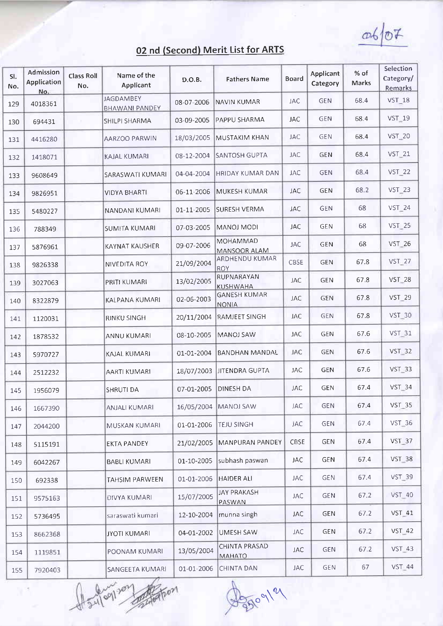$06/07$ 

| SI.<br>No. | Admission<br>Application<br>No. | <b>Class Roll</b><br>No. | Name of the<br>Applicant                  | D.O.B.     | <b>Fathers Name</b>                 | <b>Board</b> | Applicant<br>Category | % of<br>Marks | Selection<br>Category/<br>Remarks |
|------------|---------------------------------|--------------------------|-------------------------------------------|------------|-------------------------------------|--------------|-----------------------|---------------|-----------------------------------|
| 129        | 4018361                         |                          | <b>JAGDAMBEY</b><br><b>BHAWANI PANDEY</b> | 08-07-2006 | NAVIN KUMAR                         | <b>JAC</b>   | <b>GEN</b>            | 68.4          | $VST_18$                          |
| 130        | 694431                          |                          | SHILPI SHARMA                             | 03-09-2005 | PAPPU SHARMA                        | <b>JAC</b>   | <b>GEN</b>            | 68.4          | VST_19                            |
| 131        | 4416280                         |                          | AARZOO PARWIN                             | 18/03/2005 | <b>MUSTAKIM KHAN</b>                | <b>JAC</b>   | <b>GEN</b>            | 68.4          | <b>VST_20</b>                     |
| 132        | 1418071                         |                          | KAJAL KUMARI                              | 08-12-2004 | <b>SANTOSH GUPTA</b>                | <b>JAC</b>   | <b>GEN</b>            | 68.4          | $VST_21$                          |
| 133        | 9608649                         |                          | SARASWATI KUMARI                          | 04-04-2004 | <b>HRIDAY KUMAR DAN</b>             | JAC          | <b>GEN</b>            | 68.4          | $VST_22$                          |
| 134        | 9826951                         |                          | <b>VIDYA BHARTI</b>                       | 06-11-2006 | MUKESH KUMAR                        | <b>JAC</b>   | <b>GEN</b>            | 68.2          | $VST_23$                          |
| 135        | 5480227                         |                          | NANDANI KUMARI                            | 01-11-2005 | SURESH VERMA                        | JAC          | GEN                   | 68            | <b>VST_24</b>                     |
| 136        | 788349                          |                          | SUMITA KUMARI                             | 07-03-2005 | MANOJ MODI                          | <b>JAC</b>   | <b>GEN</b>            | 68            | VST_25                            |
| 137        | 5876961                         |                          | <b>KAYNAT KAUSHER</b>                     | 09-07-2006 | MOHAMMAD<br>MANSOOR ALAM            | <b>JAC</b>   | GEN                   | 68            | <b>VST_26</b>                     |
| 138        | 9826338                         |                          | <b>NIVEDITA ROY</b>                       | 21/09/2004 | ARDHENDU KUMAR<br><b>ROY</b>        | <b>CBSE</b>  | <b>GEN</b>            | 67.8          | $VST_2$ 27                        |
| 139        | 3027063                         |                          | PRITI KUMARI                              | 13/02/2005 | RUPNARAYAN<br><b>KUSHWAHA</b>       | <b>JAC</b>   | <b>GEN</b>            | 67.8          | <b>VST 28</b>                     |
| 140        | 8322879                         |                          | KALPANA KUMARI                            | 02-06-2003 | <b>GANESH KUMAR</b><br><b>NONIA</b> | JAC          | <b>GEN</b>            | 67.8          | <b>VST 29</b>                     |
| 141        | 1120031                         |                          | RINKU SINGH                               | 20/11/2004 | RAMJEET SINGH                       | JAC          | <b>GEN</b>            | 67.8          | <b>VST 30</b>                     |
| 142        | 1878532                         |                          | ANNU KUMARI                               | 08-10-2005 | <b>MANOJ SAW</b>                    | JAC          | GEN                   | 67.6          | <b>VST 31</b>                     |
| 143        | 5970727                         |                          | KAJAL KUMARI                              | 01-01-2004 | <b>BANDHAN MANDAL</b>               | <b>JAC</b>   | <b>GEN</b>            | 67.6          | <b>VST 32</b>                     |
| 144        | 2512232                         |                          | AARTI KUMARI                              | 18/07/2003 | <b>JITENDRA GUPTA</b>               | <b>JAC</b>   | <b>GEN</b>            | 67.6          | <b>VST_33</b>                     |
| 145        | 1956079                         |                          | <b>SHRUTI DA</b>                          | 07-01-2005 | <b>DINESH DA</b>                    | <b>JAC</b>   | <b>GEN</b>            | 67.4          | $VST_34$                          |
| 146        | 1667390                         |                          | ANJALI KUMARI                             |            | 16/05/2004 MANOJ SAW                | <b>JAC</b>   | <b>GEN</b>            | 67.4          | <b>VST 35</b>                     |
| 147        | 2044200                         |                          | <b>MUSKAN KUMARI</b>                      | 01-01-2006 | <b>TEJU SINGH</b>                   | <b>JAC</b>   | GEN                   | 67.4          | <b>VST 36</b>                     |
| 148        | 5115191                         |                          | <b>EKTA PANDEY</b>                        | 21/02/2005 | MANPURAN PANDEY                     | CBSE         | <b>GEN</b>            | 67.4          | <b>VST_37</b>                     |
| 149        | 6042267                         |                          | <b>BABLI KUMARI</b>                       | 01-10-2005 | subhash paswan                      | <b>JAC</b>   | <b>GEN</b>            | 67.4          | <b>VST 38</b>                     |
| 150        | 692338                          |                          | <b>TAHSIM PARWEEN</b>                     | 01-01-2006 | HAIDER ALI                          | <b>JAC</b>   | <b>GEN</b>            | 67.4          | VST_39                            |
| 151        | 9575163                         |                          | DIVYA KUMARI                              | 15/07/2005 | <b>JAY PRAKASH</b><br><b>PASWAN</b> | <b>JAC</b>   | <b>GEN</b>            | 67.2          | <b>VST 40</b>                     |
| 152        | 5736495                         |                          | saraswati kumari                          | 12-10-2004 | munna singh                         | <b>JAC</b>   | GEN                   | 67.2          | <b>VST_41</b>                     |
| 153        | 8662368                         |                          | JYOTI KUMARI                              | 04-01-2002 | UMESH SAW                           | <b>JAC</b>   | <b>GEN</b>            | 67.2          | <b>VST 42</b>                     |
| 154        | 1119851                         |                          | POONAM KUMARI                             | 13/05/2004 | CHINTA PRASAD<br>MAHATO             | <b>JAC</b>   | <b>GEN</b>            | 67.2          | $VST_43$                          |
| 155        | 7920403                         |                          | SANGEETA KUMARI                           | 01-01-2006 | <b>CHINTA DAN</b>                   | JAC          | GEN                   | 67            | <b>VST 44</b>                     |

A control control

 $450^{\circ}1^{\circ}$